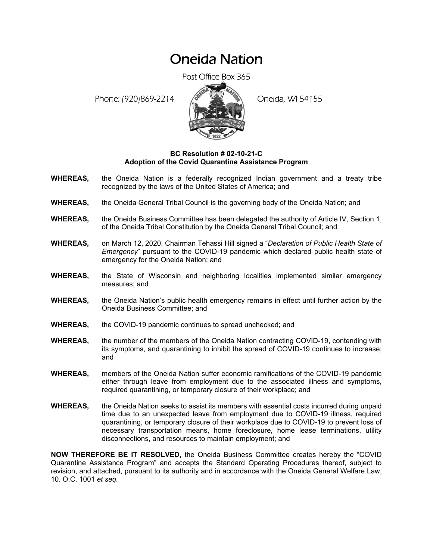## Oneida Nation

Post Office Box 365

Phone: (920)869-2214 (8 April 2) Oneida, WI 54155



## **BC Resolution # 02-10-21-C Adoption of the Covid Quarantine Assistance Program**

- **WHEREAS,** the Oneida Nation is a federally recognized Indian government and a treaty tribe recognized by the laws of the United States of America; and
- **WHEREAS,** the Oneida General Tribal Council is the governing body of the Oneida Nation; and
- **WHEREAS,** the Oneida Business Committee has been delegated the authority of Article IV, Section 1, of the Oneida Tribal Constitution by the Oneida General Tribal Council; and
- **WHEREAS,** on March 12, 2020, Chairman Tehassi Hill signed a "*Declaration of Public Health State of Emergency*" pursuant to the COVID-19 pandemic which declared public health state of emergency for the Oneida Nation; and
- **WHEREAS,** the State of Wisconsin and neighboring localities implemented similar emergency measures; and
- **WHEREAS,** the Oneida Nation's public health emergency remains in effect until further action by the Oneida Business Committee; and
- **WHEREAS,** the COVID-19 pandemic continues to spread unchecked; and
- **WHEREAS,** the number of the members of the Oneida Nation contracting COVID-19, contending with its symptoms, and quarantining to inhibit the spread of COVID-19 continues to increase; and
- **WHEREAS,** members of the Oneida Nation suffer economic ramifications of the COVID-19 pandemic either through leave from employment due to the associated illness and symptoms, required quarantining, or temporary closure of their workplace; and
- **WHEREAS,** the Oneida Nation seeks to assist its members with essential costs incurred during unpaid time due to an unexpected leave from employment due to COVID-19 illness, required quarantining, or temporary closure of their workplace due to COVID-19 to prevent loss of necessary transportation means, home foreclosure, home lease terminations, utility disconnections, and resources to maintain employment; and

**NOW THEREFORE BE IT RESOLVED,** the Oneida Business Committee creates hereby the "COVID Quarantine Assistance Program" and accepts the Standard Operating Procedures thereof, subject to revision, and attached, pursuant to its authority and in accordance with the Oneida General Welfare Law, 10. O.C. 1001 *et seq.*